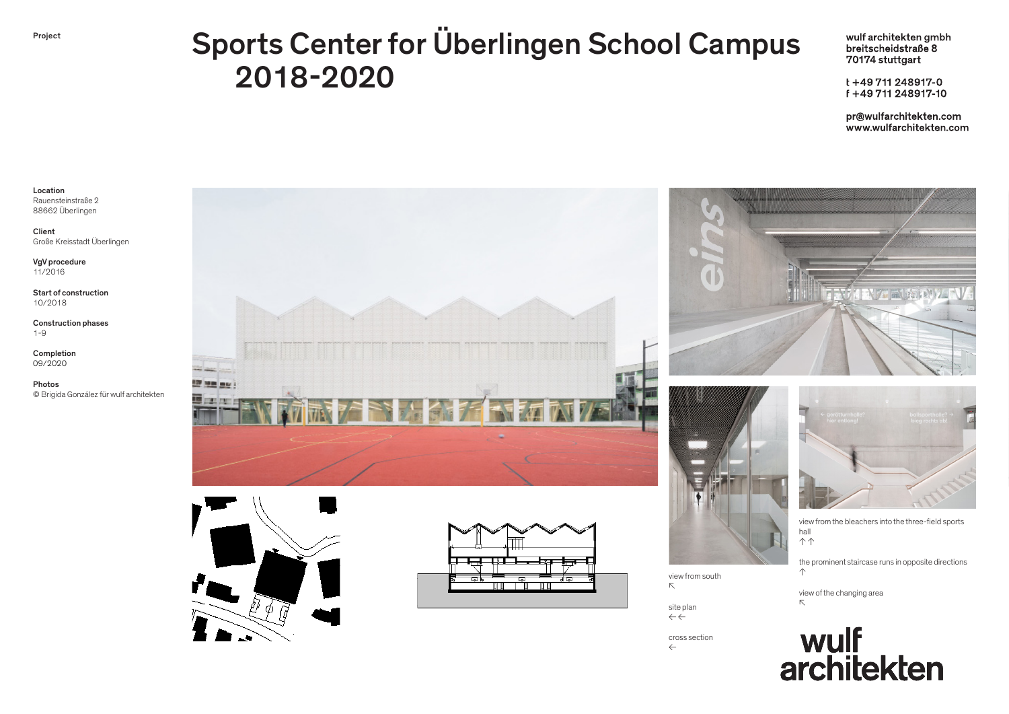## Project Sports Center for Überlingen School Campus 2018-2020

wulf architekten gmbh breitscheidstraße 8 70174 stuttgart

t+49711248917-0 f +49 711 248917-10

pr@wulfarchitekten.com www.wulfarchitekten.com

## Location Rauensteinstraße 2 88662 Überlingen

Client Große Kreisstadt Überlingen

VgV procedure 11/2016

Start of construction 10/2018

Construction phases 1-9

Completion 09/2020

Photos © Brigida González für wulf architekten













cross section ←



view from the bleachers into the three-field sports hall ↑ ↑

the prominent staircase runs in opposite directions ↑

view of the changing area ↖